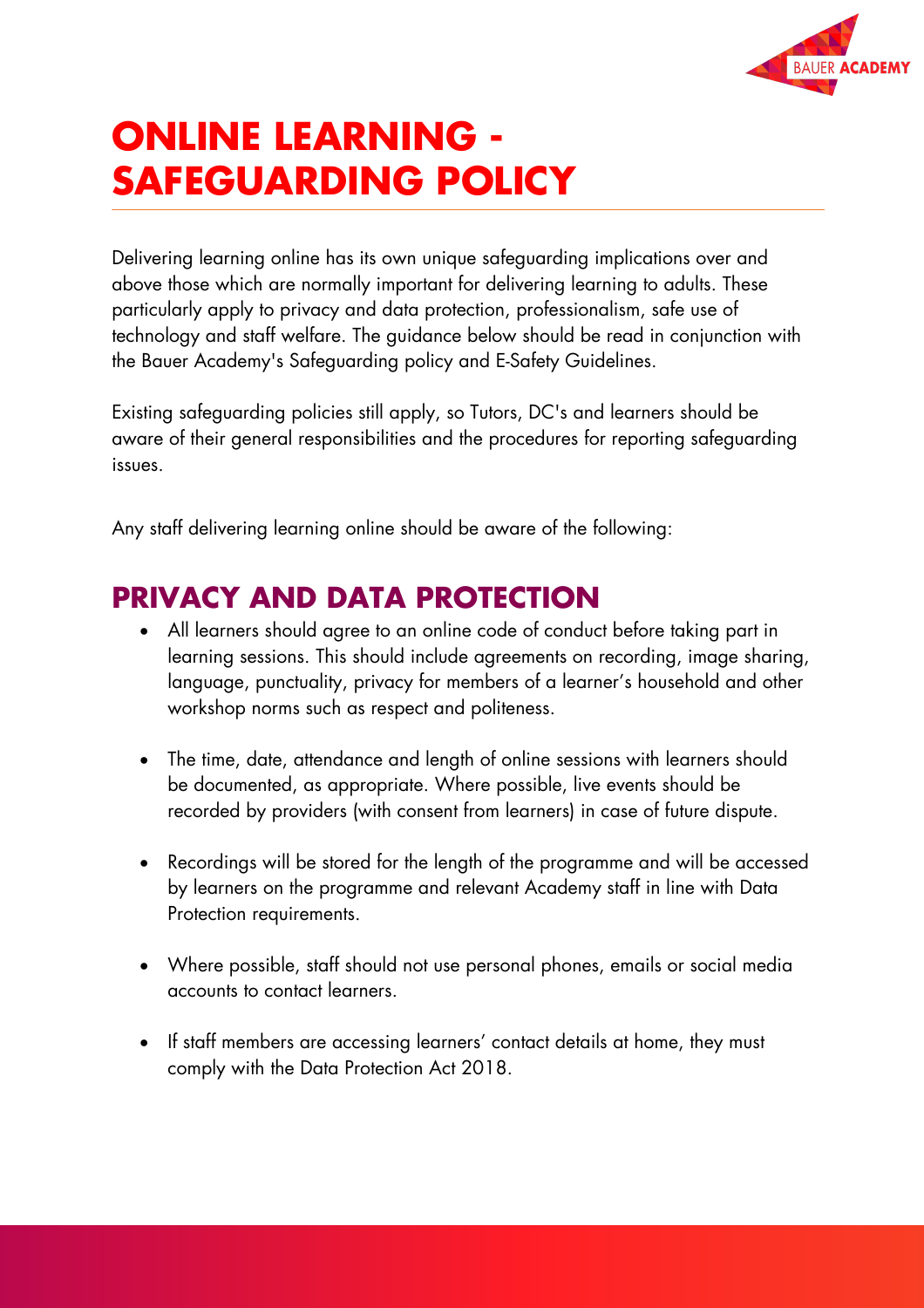

# **ONLINE LEARNING - SAFEGUARDING POLICY**

Delivering learning online has its own unique safeguarding implications over and above those which are normally important for delivering learning to adults. These particularly apply to privacy and data protection, professionalism, safe use of technology and staff welfare. The guidance below should be read in conjunction with the Bauer Academy's Safeguarding policy and E-Safety Guidelines.

Existing safeguarding policies still apply, so Tutors, DC's and learners should be aware of their general responsibilities and the procedures for reporting safeguarding issues.

Any staff delivering learning online should be aware of the following:

#### **PRIVACY AND DATA PROTECTION**

- All learners should agree to an online code of conduct before taking part in learning sessions. This should include agreements on recording, image sharing, language, punctuality, privacy for members of a learner's household and other workshop norms such as respect and politeness.
- The time, date, attendance and length of online sessions with learners should be documented, as appropriate. Where possible, live events should be recorded by providers (with consent from learners) in case of future dispute.
- Recordings will be stored for the length of the programme and will be accessed by learners on the programme and relevant Academy staff in line with Data Protection requirements.
- Where possible, staff should not use personal phones, emails or social media accounts to contact learners.
- If staff members are accessing learners' contact details at home, they must comply with the Data Protection Act 2018.